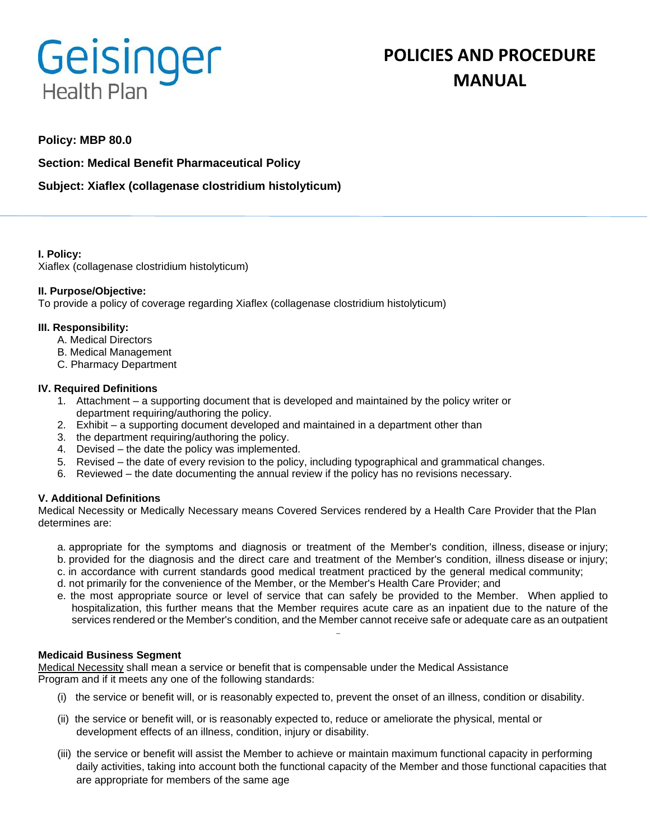# Geisinger **Health Plan**

## **POLICIES AND PROCEDURE MANUAL**

### **Policy: MBP 80.0**

**Section: Medical Benefit Pharmaceutical Policy**

**Subject: Xiaflex (collagenase clostridium histolyticum)**

**I. Policy:** Xiaflex (collagenase clostridium histolyticum)

#### **II. Purpose/Objective:**

To provide a policy of coverage regarding Xiaflex (collagenase clostridium histolyticum)

#### **III. Responsibility:**

- A. Medical Directors
- B. Medical Management
- C. Pharmacy Department

#### **IV. Required Definitions**

- 1. Attachment a supporting document that is developed and maintained by the policy writer or department requiring/authoring the policy.
- 2. Exhibit a supporting document developed and maintained in a department other than
- 3. the department requiring/authoring the policy.
- 4. Devised the date the policy was implemented.
- 5. Revised the date of every revision to the policy, including typographical and grammatical changes.
- 6. Reviewed the date documenting the annual review if the policy has no revisions necessary.

#### **V. Additional Definitions**

Medical Necessity or Medically Necessary means Covered Services rendered by a Health Care Provider that the Plan determines are:

- a. appropriate for the symptoms and diagnosis or treatment of the Member's condition, illness, disease or injury;
- b. provided for the diagnosis and the direct care and treatment of the Member's condition, illness disease or injury;
- c. in accordance with current standards good medical treatment practiced by the general medical community;
- d. not primarily for the convenience of the Member, or the Member's Health Care Provider; and
- e. the most appropriate source or level of service that can safely be provided to the Member. When applied to hospitalization, this further means that the Member requires acute care as an inpatient due to the nature of the services rendered or the Member's condition, and the Member cannot receive safe or adequate care as an outpatient

#### **Medicaid Business Segment**

Medical Necessity shall mean a service or benefit that is compensable under the Medical Assistance Program and if it meets any one of the following standards:

- (i) the service or benefit will, or is reasonably expected to, prevent the onset of an illness, condition or disability.
- (ii) the service or benefit will, or is reasonably expected to, reduce or ameliorate the physical, mental or development effects of an illness, condition, injury or disability.
- (iii) the service or benefit will assist the Member to achieve or maintain maximum functional capacity in performing daily activities, taking into account both the functional capacity of the Member and those functional capacities that are appropriate for members of the same age